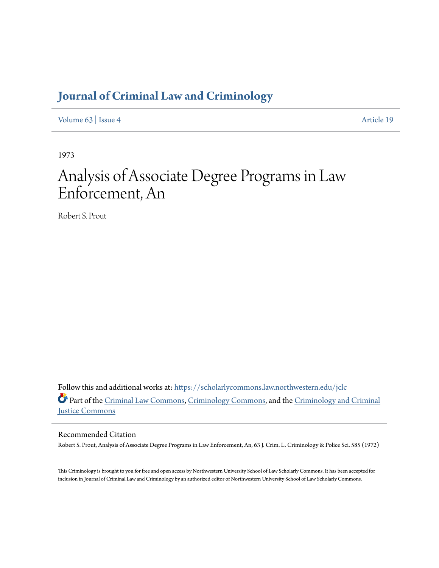# **[Journal of Criminal Law and Criminology](https://scholarlycommons.law.northwestern.edu/jclc?utm_source=scholarlycommons.law.northwestern.edu%2Fjclc%2Fvol63%2Fiss4%2F19&utm_medium=PDF&utm_campaign=PDFCoverPages)**

[Volume 63](https://scholarlycommons.law.northwestern.edu/jclc/vol63?utm_source=scholarlycommons.law.northwestern.edu%2Fjclc%2Fvol63%2Fiss4%2F19&utm_medium=PDF&utm_campaign=PDFCoverPages) | [Issue 4](https://scholarlycommons.law.northwestern.edu/jclc/vol63/iss4?utm_source=scholarlycommons.law.northwestern.edu%2Fjclc%2Fvol63%2Fiss4%2F19&utm_medium=PDF&utm_campaign=PDFCoverPages) [Article 19](https://scholarlycommons.law.northwestern.edu/jclc/vol63/iss4/19?utm_source=scholarlycommons.law.northwestern.edu%2Fjclc%2Fvol63%2Fiss4%2F19&utm_medium=PDF&utm_campaign=PDFCoverPages)

1973

# Analysis of Associate Degree Programs in Law Enforcement, An

Robert S. Prout

Follow this and additional works at: [https://scholarlycommons.law.northwestern.edu/jclc](https://scholarlycommons.law.northwestern.edu/jclc?utm_source=scholarlycommons.law.northwestern.edu%2Fjclc%2Fvol63%2Fiss4%2F19&utm_medium=PDF&utm_campaign=PDFCoverPages) Part of the [Criminal Law Commons](http://network.bepress.com/hgg/discipline/912?utm_source=scholarlycommons.law.northwestern.edu%2Fjclc%2Fvol63%2Fiss4%2F19&utm_medium=PDF&utm_campaign=PDFCoverPages), [Criminology Commons](http://network.bepress.com/hgg/discipline/417?utm_source=scholarlycommons.law.northwestern.edu%2Fjclc%2Fvol63%2Fiss4%2F19&utm_medium=PDF&utm_campaign=PDFCoverPages), and the [Criminology and Criminal](http://network.bepress.com/hgg/discipline/367?utm_source=scholarlycommons.law.northwestern.edu%2Fjclc%2Fvol63%2Fiss4%2F19&utm_medium=PDF&utm_campaign=PDFCoverPages) [Justice Commons](http://network.bepress.com/hgg/discipline/367?utm_source=scholarlycommons.law.northwestern.edu%2Fjclc%2Fvol63%2Fiss4%2F19&utm_medium=PDF&utm_campaign=PDFCoverPages)

# Recommended Citation

Robert S. Prout, Analysis of Associate Degree Programs in Law Enforcement, An, 63 J. Crim. L. Criminology & Police Sci. 585 (1972)

This Criminology is brought to you for free and open access by Northwestern University School of Law Scholarly Commons. It has been accepted for inclusion in Journal of Criminal Law and Criminology by an authorized editor of Northwestern University School of Law Scholarly Commons.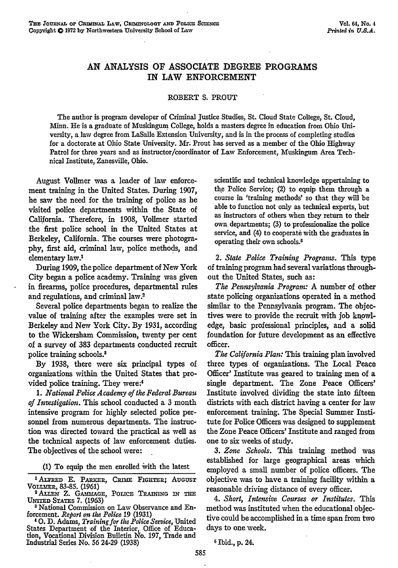# **AN** ANALYSIS **OF** ASSOCIATE DEGREE PROGRAMS IN LAW **ENFORCEMENT**

#### ROBERT **S.** PROUT

The author is program developer of Criminal justice Studies, St. Cloud State College, St. Cloud, Minn. He is a graduate of Muskingum College, holds a masters degree in education from Ohio University, a law degree from LaSalle Extension University, and is in the process of completing studies for a doctorate at Ohio State University. Mr. Prout has served as a member of the Ohio Highway Patrol for three years and as instructor/coordinator of Law Enforcement, Muskingum Area Technical Institute, Zanesville, Ohio.

August Vollmer was a leader of law enforcement training in the United States. During 1907, he saw the need for the training of police as he visited police departments within the State of California. Therefore, in 1908, Vollmer started the first police school in the United States at Berkeley, California. The courses were photography, **first** aid, criminal law, police methods, and elementary law.'

During **1909,** the police department of New York City began a police academy. Training was given in firearms, police procedures, departmental rules and regulations, and criminal law.2

Several police departments began to realize the value of training after the examples were set in Berkeley and New York City. By 1931, according to the Wickersham Commission, twenty per cent of a survey of 383 departments conducted recruit police training schools.3

By 1938, there were six principal types of organizations within the United States that provided police training. They were:'

*1. National Police Academy of the Federal Bureau of Investigation.* This school conducted a 3 month intensive program for highly selected police personnel from numerous departments. The instruction was directed toward the practical as well as the technical aspects of law enforcement duties. The objectives of the school were:

(1) To equip the men enrolled 'vith the latest

<sup>1</sup> ALFRED E. PARKER, CRIME FIGHTER; AUGUST VOLLMER, 83-85. (1961)<br><sup>2</sup> Allen Z. GAMMAGE, POLICE TRAINING IN THE

**UNITED** STATES **7.** (1963) **8** National Commission on Law Observance and En-

forcement. *Report on the Police* **19** (1931) **<sup>4</sup>**0. D. Adams, *Training for the Police Service,* United

States Department of the Interior, Office of Education, Vocational Division Bulletin No. 197, Trade and Industrial Series No. 56 24-29 (1938)

scientific and technical knowledge appertaining to the Police Service; (2) to equip them through a course in 'training methods' so that they will be able to function not only as technical experts, but as instructors of others when they return to their own departments; (3) to professionalize the police service, and (4) to cooperate with the graduates in operating their own schools.5

*2. State Police Training Programs.* This type of training program had several variations throughout the United States, such as:

*The Pennsylvania Program:* A number of other state policing organizations operated in a method similar to the Pennsylvania program. The objectives were to provide the recruit with job knowledge, basic professional principles, and a solid foundation for future development as an effective officer.

*The California Plan:* This training plan involved three types of organizations. The Local Peace Officer' Institute was geared to training men of a single department. The Zone Peace Officers' Institute involved dividing the state into fifteen districts with each district having a center for law enforcement training. The Special Summer Institute for Police Officers was designed to supplement the Zone Peace Officers' Institute and ranged from one to six weeks of study.

*3. Zone Schools.* This training method was established for large geographical areas which employed a small number of police officers. The objective was to have a training facility within a reasonable driving distance of every officer.

*4. Short, Intensive Courses or Institutes. This* method was instituted when the educational objective could be accomplished in a time span from two days to one week.

<sup>5</sup> Ibid., p. 24.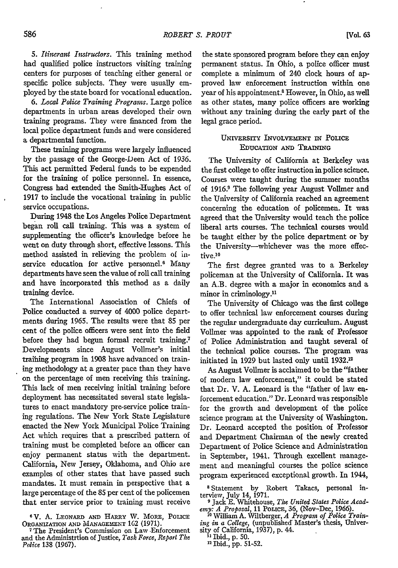*5. Itinerant Instructors.* This training method had qualified police instructors visiting training centers for purposes of teaching either general or specific police subjects. They were usually employed by the state board for vocational education.

*6. Local Police Training Programs.* Large police departments in urban areas developed their own training programs. They were financed from the local police department funds and were considered a departmental function.

These training programs were largely influenced by the passage of the George-Deen Act of 1936. This act permitted Federal funds to be expended for the training of police personnel. In essence, Congress had extended the Smith-Hughes Act of 1917 to include the vocational training in public service occupations.

During 1948 the Los Angeles Police Department began roll call training. This was a system of supplementing the officer's knowledge before he went on duty through short, effective lessons. This method assisted in relieving the problem of inservice education for active personnel.<sup>6</sup> Many departments have seen the value of roll call training and have incorporated this method as a daily training device.

The International Association of Chiefs of Police conducted a survey of 4000 police departments during 1965. The results were that 85 per cent of the police officers were sent into the field before they had begun formal recruit training.<sup>7</sup> Developments since August Vollmer's initial training program in 1908 have advanced on training methodology at a greater pace than they have on the percentage of men receiving this training. This lack of men receiving initial training before deployment has necessitated several state legislatures to enact mandatory pre-service police training regulations. The New York State Legislature enacted the New York Municipal Police Training Act which requires that a prescribed pattern of training must be completed before an officer can enjoy permanent status with the department. California, New Jersey, Oklahoma, and Ohio are examples of other states that have passed such mandates. It must remain in perspective that a large percentage of the 85 per cent of the policemen that enter service prior to training must receive

<sup>6</sup> V. A. LEONARD AND HARRY W. MORE, POLICE **ORGANIZATION AND MANAGEMENT 162 (1971). 7** The President's Commission on Law Enforcement the state sponsored program before they can enjoy permanent status. In Ohio, a police officer must complete a minimum of 240 clock hours of approved law enforcement instruction within one year of his appointment.<sup>8</sup> However, in Ohio, as well as other states, many police officers are working without any training during the early part of the legal grace period.

#### UNIVERSITY INVOLVEMENT IN POLICE EDUCATION AND **TRAINING**

The University of California at Berkeley was the first college to offer instruction in police science. Courses were taught during the summer months of 1916.<sup>9</sup> The following year August Vollmer and the University of California reached an agreement concerning the education of policemen. It was agreed that the University would teach the police liberal arts courses. The technical courses would be taught either by the police department or by the University-whichever was the more effective.<sup>10</sup>

The first degree granted was to a Berkeley policeman at the University of California. It was an A.B. degree with a major in economics and a minor in criminology.<sup>11</sup>

The University of Chicago was the first college to offer technical law enforcement courses during the regular undergraduate day curriculum. August Vollmer was appointed to the rank of Professor of Police Administration and taught several of the technical police courses. The program was initiated in 1929 but lasted only until 1932.<sup>12</sup>

As August Vollmer is acclaimed to be the "father of modern law enforcement," it could be stated that Dr. V. A. Leonard is the "father of law enforcement education." Dr. Leonard was responsible for the growth and development of the police science program at the University of Washington. Dr. Leonard accepted the position of Professor and Department Chairman of the newly created Department of Police Science and Administration in September, 1941. Through excellent management and meaningful courses the police science program experienced exceptional growth. In 1944,

**8** Statement by Robert Takacs, personal in-terview, July 14, 1971. **9** Jack E. Whitehouse, *The United States Polie Acad-*

*emy: A Proposal,* 11 PoLIcE, 36, (Nov-Dec, 1966). **10** William A. Wiltberger, *A Program of Police Train-*

ing in a College, (unpublished Master's thesis, University of California, 1937), p. 44.

**1** Ibid., p. 50.

"2 Ibid., pp. 51-52.

and the Administrtion of Justice, *Task Force, Report The Police* 138 (1967).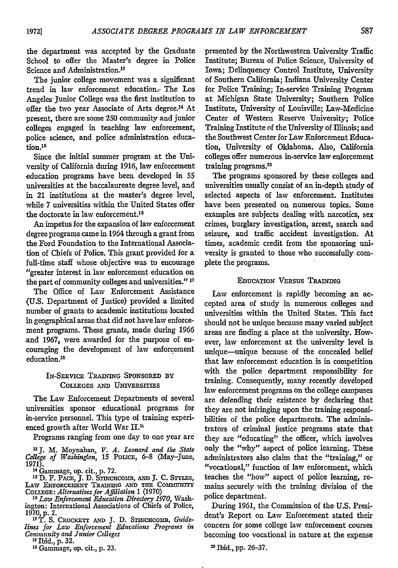the department was accepted by the Graduate School to offer the Master's degree in Police Science and Administration.13

The junior college movement was a significant trend in law enforcement education.- The Los Angeles-Junior College was the first institution to offer the two year Associate of Arts degree.<sup>14</sup> At present, there are some 250 community and junior colleges engaged in teaching law enforcement, police science, and police administration education.<sup>15</sup>

Since the initial summer program at the University of California during 1916, law enforcement education programs have been developed in **55** universities at the baccalaureate degree level, and in 21 institutions at the master's degree level, while 7 universities within the United States offer the doctorate in law enforcement. <sup>16</sup>

An impetus for the expansion of law enforcement degree programs came in 1964 through a grant from the Ford Foundation to the International Association of Chiefs of Police. This grant provided for a full-time staff whose objective was to encourage "greater interest in law enforcement education on the part of community colleges and universities." **' 7**

The Office of Law Enforcement Assistance (U.S. Department of Justice) provided a limited number of grants to academic institutions located in geographical areas that did not have law enforcement programs. These grants, made during 1966 and 1967, were awarded for the purpose of encouraging the development of law enforcement education.<sup>18</sup>

## IN-SERVICE TRAINING SPONSORED BY COLLEGES **AND** UNivERsrrEs

The Law Enforcement Departments of several universities sponsor educational programs for in-service personnel. This type of training experienced growth after World War H.

Programs ranging from one day to one year are

**'3 J.** M. Moynahan, *V. A. Leonard and the State College of Washington, 15* PoucE, 6-8 (May-June, **1971).** <sup>14</sup>Gammage, op. cit., p. **72.**

**<sup>15</sup>**D. F. PACE, **J.** D. SrrNcacormm, **AND J.** C. STyLEs, LAW **ENEORCEnENT** TRAnmIG **AND THE** COMsNinir COLLEGE: *Alternatives for Affiliation* 1 (1970) **<sup>16</sup>***Law Enforcement Education Directory 1970,* Wash-

ington: International Associations of Chiefs of Police, 1970, p. 2.

<sup>17</sup>T. S. CROCKETT AND J. D. STINCHCOMB, Guide*lines for Law Enforcement Educations Programs in Community and Junior Colleges*

**18** Ibid., p. 32.

<sup>19</sup> Gammage, op. cit., p. 23.

presented by the Northwestern University Traffic Institute; Bureau of Police Science, University of Iowa; Delinquency Control Institute, University of Southern California; Indiana University Center for Police Training; In-service Training Program at Michigan State University; Southern Police Institute, University of Louisville; Law-Medicine Center of Western Reserve University; Police Training Institute of the University of Illinois; and the Southwest Center for Law Enforcement Education, University of Oklahoma. Also, California colleges offer numerous in-service law enforcement training programs.<sup>20</sup>

The programs sponsored by these colleges and universities usually consist of an in-depth study of selected aspects of law enforcement. Institutes have been presented on numerous topics. Some examples are subjects dealing with narcotics, sex crimes, burglary investigation, arrest, search and seizure, and traffic accident investigation. At times, academic credit from the sponsoring university is granted to those who successfully complete the programs.

### **EDUCATION** VERSUS **TRAINING**

Law enforcement is rapidly becoming an accepted area of study in numerous colleges and universities within the United States. This fact should not be unique because many varied subject areas are finding a place at the university. However, law enforcement at the university level is unique-unique because of the concealed belief that law enforcement education is in competition with the police department responsibility for training. Consequently, many recently developed law enforcement programs on the college campuses are defending their existence by declaring that they are not infringing upon the training responsibilities of the police departments. The administrators of criminal justice programs state that they are "educating" the officer, which involves only the "why" aspect of police learning. These administrators also claim that the "training," or "vocational," function of law enforcement, which teaches the "how" aspect of police learning, remains securely with the training division of the police department.

During 1961, the Commission of the U.S. President's Report on Law Enforcement stated their concern for some college law enforcement courses becoming too vocational in nature at the expense

<sup>20</sup> Ibid., pp. 26-37.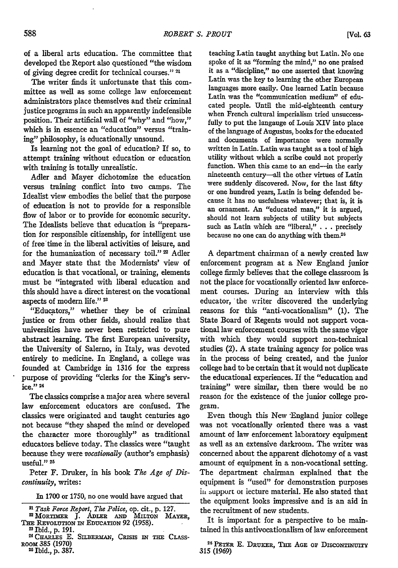of a liberal arts education. The committee that developed the Report also questioned "the wisdom of giving degree credit for technical courses." 21

The writer finds it unfortunate that this committee as well as some college law enforcement administrators place themselves and their criminal justice programs in such an apparently indefensible position. Their artificial wall of "why" and "how," which is in essence an "education" versus "training" philosophy, is educationally unsound.

Is learning not the goal of education? If so, to attempt training without education or education with training is totally unrealistic.

Adler and Mayer dichotomize the education versus training conflict into two camps. The Idealist view embodies the belief that the purpose of education is not to provide for a responsible flow of labor or to provide for economic security. The Idealists believe that education is "preparation for responsible citizenship, for intelligent use of free'time in the liberal activities of leisure, and for the humanization of necessary toil." 22 Adler and Mayer state that the Modernists' view of education is that vocational, or training, elements must be "integrated with liberal education and this should have a direct interest on the vocational aspects of modem life." **23**

"Educators," whether they be of criminal justice or from other fields, should realize that universities have never been restricted to pure abstract learning. The first European university, the University of Salerno, in Italy, was devoted entirely to medicine. In England, a college was founded at Cambridge in 1316 for the express purpose of providing "clerks for the King's service." 24

The classics comprise a major area where several law enforcement educators are confused. The classics were originated and taught centuries ago not because "they shaped the mind or developed the character more thoroughly" as traditional educators believe today. The classics were "taught because they were *vocationally* (author's emphasis) useful."<sup>25</sup>

Peter F. Druker, in his book *The Age of Discontinuity,* writes:

<sup>22</sup> MORTIMER J. ADLER AND MILTON MAYER,

- *THE* REVOLUTiON **Th** EDUCATION **92 (1958). <sup>3</sup>**Ibid., **p.** 191. <sup>2</sup>
- 1 CHARLES E. **SILBEEMAN,** CRISIS **IN THE** CLASS-Room 385 (1970) 25 Ibid., p. 387.

teaching Latin taught anything but Latin. No one spoke of it as "forming the mind," no one praised it as a "discipline," no one asserted that knowing Latin was the key to learning the other European languages more easily. One learned Latin because Latin was the "communication medium" of educated people. Until the mid-eighteenth century when French cultural imperialism tried unsuccessfully to put the langauge of Louis XIV into place of the language of Augustus, books for the educated and documents of importance were normally written in Latin. Latin was taught as a tool of high utility without which a scribe could not properly function. When this came to an end-in the early nineteenth century--all the other virtues of Latin were suddenly discovered. Now, for the last fifty or one hundred years, Latin is being defended because it has no usefulness whatever; that is, it is an ornament. An "educated man," it is argued, should not learn subjects of utility but subjects such as Latin which are "liberal," **. . .**precisely because no one can do anything with them.<sup>2</sup>

A department chairman of a newly created law enforcement program at a New England junior college firmly believes that the college classroom is not the place for vocationally oriented law enforcement courses. During an interview with this educator, the writer discovered the underlying reasons for this "anti-vocationalism" (1). The State Board of Regents would not support vocational law enforcement courses with the same vigor with which they would support non-technical studies (2). A state training agency for police was in the process of being created, and the junior college had to be certain that it would not duplicate the educational experiences. If the "education and training" were similar, then there would be no reason for the existence of the junior college program.

Even though this New -England junior college was not vocationally oriented there was a vast amount of law enforcement laboratory equipment as well as an extensive darkroom. The writer was concerned about the apparent dichotomy of a vast amount of equipment in a non-vocational setting. The department chairman explained that the equipment is "used" for demonstration purposes in support or iecture material. He also stated that the equipment looks impressive and is an aid in the recruitment of new students.

It is important for a perspective to be maintained in this antivocationalism of law enforcement

**26** PETER **E.** DRUxER, Tim **AGE** Op **DIscoNTnUiTY** 315 (1969)

In 1700 or 1750, no one would have argued that

*<sup>2</sup>i Task Force Report, The Police,* op. cit., p. 127.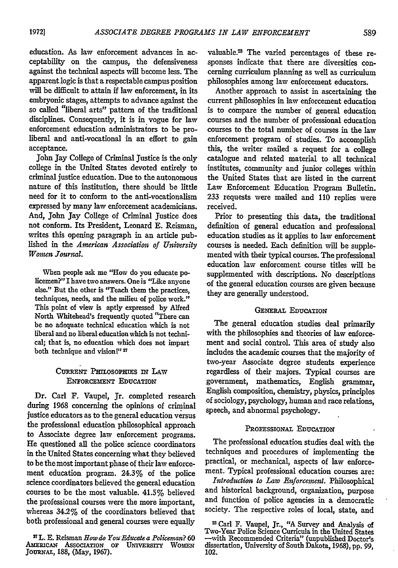education. As law enforcement advances in acceptability on the campus, the defensiveness against the technical aspects will become less. The apparent logic is that a respectable campus position will be difficult to attain if law enforcement, in its embryonic stages, attempts to advance against the so called "liberal arts" pattern of the traditional disciplines. Consequently, it is in vogue for law enforcement education administrators to be proliberal and anti-vocational in an effort to gain acceptance.

John Jay College of Criminal Justice is the only college in the United States devoted entirely to criminal justice education. Due to the autonomous nature of this institution, there should be little need for it to conform to the anti-vocationalism expressed **by** many law enforcement academicians. And, John Jay College of Criminal Justice does not conform. Its President, Leonard E. Reisman, writes this opening paragraph in an article published in the *American Association of University Wonin Journal.*

When people ask me "How do you educate policemen?" I have two answers. One is "Like anyone else." But the other is "Teach them the practices, techniques, needs, and the milieu of police work." This point of view is aptly expressed by Alfred North Whitehead's frequently quoted "There can be no adequate technical education which is not liberal and no liberal education which is not technical; that is, no education which does not impart both technique and vision!" 27

#### CUREnT PmnosoPams IN **LAw ENFORCEMENT EDUCATION**

Dr. Carl F. Vaupel, Jr. completed research during 1968 concerning the opinions of criminal justice educators as to the general education versus the professional education philosophical approach to Associate degree law enforcement programs. He questioned all the police science coordinators in the United States concerning what they believed to be the most important phase of their law enforcement education program. 24.3% of the police science coordinators believed the general education courses to be the most valuable. 41.5% believed the professional courses were the more important, whereas 34.2% of the coordinators believed that both professional and general courses were equally

**27L. E.** Reisman *How do You Educate a Policeman?* **60 AmERicAw ASsOCIATION or UNIVERsrrY WOMEN JoURNAL,** 188, (May, **1967).**

valuable.<sup>23</sup> The varied percentages of these responses indicate that there are diversities concerning curriculum planning as well as curriculum philosophies among law enforcement educators.

Another approach to assist in ascertaining the current philosophies in law enforcement education is to compare the number of general education courses and the number of professional education courses to the total number of courses in the law enforcement program of studies. To accomplish this, the writer mailed a request for a college catalogue and related material to all technical institutes, community and junior colleges within the United States that are listed in the current Law Enforcement Education Program Bulletin. **233** requests were mailed and 110 replies were received.

Prior to presenting this data, the traditional definition of general education and professional education studies as it applies to law enforcement courses is needed. Each definition will be supplemented with their typical courses. The professional education law enforcement course titles will be supplemented with descriptions. No descriptions -of the general education courses are given because they are generally understood.

#### **GENERAL EDUCATION**

The general education studies deal primarily with the philosophies and theories of law enforcement and social control. This area of study also includes the academic courses that the majority of two-year Associate degree students experience regardless of their majors. Typical courses are government, mathematics, English grammar, English composition, chemistry, physics, principles of sociology, psychology, human and race relations, speech, and abnormal psychology.

#### **PROFESSIONAL EDUCATION**

The professional education studies deal with the techniques and procedures of implementing the practical, or mechanical, aspects of law enforcement. Typical professional education courses are:

*Introduction to Law Enforcement.* Philosophical and historical background, organization, purpose and function of police agencies in a democratic society. The respective roles of local, state, and

<sup>21</sup> Carl F. Vaupel, Jr., **"A** Survey and Analysis of Two-Year Police Science Curricula in the United States -with Recommended Criteria" (unpublished Doctor's dissertation, University of South Dakota, **1968), pp.** 99, 102.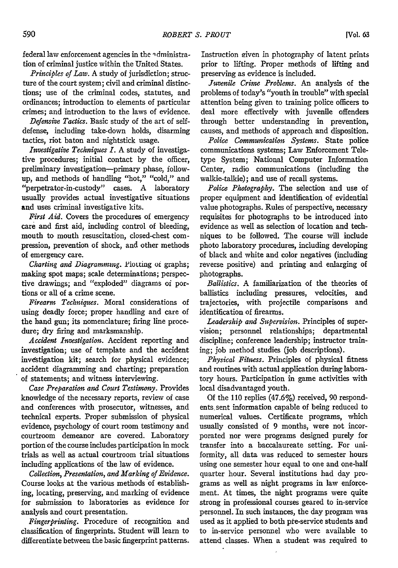federal law enforcement agencies in the **q** dministration of criminal justice within the United States.

*Principles of Law.* A study of jurisdiction; structure of the court system; civil and criminal distinctions; use of the criminal codes, statutes, and ordinances; introduction to elements of particular crimes; and introduction to the laws of evidence.

*Defensive Tactics.* Basic study of the art of selfdefense, including take-down holds, disarming tactics, riot baton and nightstick usage.

*Investigative Techniques I.* A study of investigative procedures; initial contact by the officer, preliminary investigation-primary phase, followup, and methods of handling "hot," "cold," and "perpetrator-in-custody" cases. A laboratory usually provides actual investigative situations and uses criminal investigative kits.

*First Aid.* Covers the procedures of emergency care and first aid, including control of bleeding, mouth to mouth resuscitation, closed-chest compression, prevention of shock, and other methods of emergency care.

*Charting and Diagramming.* Plotting of graphs; making spot maps; scale determinations; perspective drawings; and "exploded" diagrams of portions or all of a crime scene.

*Firearm Techniques.* Moral considerations of using deadly force; proper handling and care of the hand gun; its nomenclature; firing line procedure; dry firing and marksmanship.

*Accident Investigation.* Accident reporting and investigation; use of template and the accident investigation kit; search for physical evidence; accident diagramming and charting; preparation of statements; and witness interviewing.

*Case Preparation and Court Testimony.* Provides knowledge of the necessary reports, review of case and conferences with prosecutor, witnesses, and technical experts. Proper submission of physical evidence, psychology of court room testimony and courtroom demeanor are covered. Laboratory portion of the course includes participation in mock trials as well as actual courtroom trial situations including applications of the law of evidence.

*Collection, Presentation, and Marking of Evidence.* Course looks at the various methods of establishing, locating, preserving, and marking of evidence for submission to laboratories as evidence for analysis and court presentation.

*Fingerprinting.* Procedure of recognition and classification of fingerprints. Student will learn to differentiate between the basic fingerprint patterns.

Instruction eiven in photography of latent prints prior to lifting. Proper methods of lifting and preserving as evidence is included.

*Juvenile Crime Problems. An* analysis of the problems of today's "youth in trouble" with special attention being given to training police officers to deal more effectively with juvenile offenders through better understanding in prevention, causes, and methods of approach and disposition.

*Police Communication Systems.* State police communications systems; Law Enforcement Teletype System; National Computer Information Center, radio communications (including the walkie-talkie); and use of recall systems.

*Police Photography.* The selection and use of proper equipment and identification of evidential value photographs. Rules of perspective, necessary requisites for photographs to be introduced into evidence as well as selection of location and techniques to be followed. The course will include photo laboratory procedures, including developing of black and white and color negatives (including reverse positive) and printing and enlarging of photographs.

*Ballistics.* A familiarization of the theories of ballistics including pressures, velocities, and trajectories, with projectile comparisons and identification of firearms.

*Leadership and Supervision.* Principles of supervision; personnel relationships; departmental discipline; conference leadership; instructor training; job method studies (job descriptions).

*Physical Fitness.* Principles of physical fitness and routines with actual application during laboratory hours. Participation in game activities with local disadvantaged youth.

Of the 110 replies (47.6%) received, 90 respondents sent information capable of being reduced to numerical values. Certificate programs, which usually consisted of 9 months, were not incorporated nor were programs designed purely for transfer into a baccalaureate setting. For uniformity, all data was reduced to semester hours using one semester hour equal to one and one-half quarter hour. Several institutions had day programs as well as night programs in law enforcement. At times, the night programs were quite strong in professional courses geared to in-service personnel. In such instances, the day program was used as it applied to both pre-service students and to in-service personnel who were available to attend classes. When a student was required to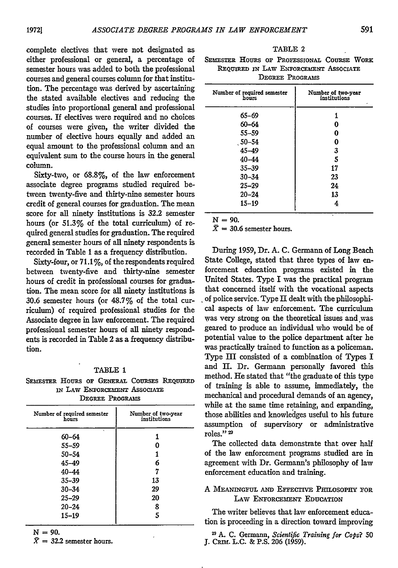complete electives that were not designated as either professional or general, a percentage of semester hours was added to both the professional courses and general courses column for that institution. The percentage was derived by ascertaining the stated available electives and reducing the studies into proportional general and professional courses. **If** electives were required and no choices of courses were given, the writer divided the number of elective hours equally and added an equal amount to the professional column and an equivalent sum to the course hours in the general column.

Sixty-two, or 68.8%, of the law enforcement associate degree programs studied required between twenty-five and thirty-nine semester hours credit of general courses for graduation. The mean score for all ninety institutions is 32.2 semester hours (or **51.3%** of the total curriculum) of required general studies for graduation. The required general semester hours of all ninety respondents is recorded in Table 1 as a frequency distribution.

Sixty-four, or  $71.1\%$ , of the respondents required between twenty-five and thirty-nine semester hours of credit in professional courses for graduation. The mean score for all ninety institutions is 30.6 semester hours (or 48.7% of the total curriculum) of required professional studies for the Associate degree in law enforcement. The required professional semester hours of all ninety respondents is recorded in Table 2 as a frequency distribution.

#### TABLE 1

|                              |  |  |  |  | SEMESTER HOURS OF GENERAL COURSES REOUIRED |  |  |
|------------------------------|--|--|--|--|--------------------------------------------|--|--|
| IN LAW ENFORCEMENT ASSOCIATE |  |  |  |  |                                            |  |  |
| DEGREE PROGRAMS              |  |  |  |  |                                            |  |  |

| Number of required semester<br>hours | Number of two-year<br>institutions |
|--------------------------------------|------------------------------------|
| ×.<br>$60 - 64$                      |                                    |
| $55 - 59$                            |                                    |
| $50 - 54$                            |                                    |
| 45-49                                | 6                                  |
| $40 - 44$                            |                                    |
| $35 - 39$                            | 13                                 |
| $30 - 34$                            | 29                                 |
| $25 - 29$                            | 20                                 |
| $20 - 24$                            | 8                                  |
| $15 - 19$                            |                                    |

 $N = 90.$ 

 $\bar{X} = 32.2$  semester hours.

| . .<br>RТ |  |
|-----------|--|
|-----------|--|

SEMESTER HOURS OF PROFESSIONAL COURSE WORK REQUIRED IN LAW ENFORCEMENT ASSOCIATE **DEGREE PROGRAMS**

| Number of required semester<br>hours | Number of two-year<br>institutions |
|--------------------------------------|------------------------------------|
| 65-69                                | 1                                  |
| $60 - 64$                            | 0                                  |
| $55 - 59$                            | 0                                  |
| $50 - 54$                            | 0                                  |
| $45 - 49$                            | 3                                  |
| $40 - 44$                            | 5                                  |
| $35 - 39$                            | 17                                 |
| $30 - 34$                            | 23                                 |
| $25 - 29$                            | 24                                 |
| $20 - 24$                            | 13                                 |
| $15 - 19$                            | 4                                  |
|                                      |                                    |

 $N = 90.$ 

 $\bar{X}$  = 30.6 semester hours.

During 1959, Dr. A. C. Germann of Long Beach State College, stated that three types of law enforcement education programs existed in the United States. Type I was the practical program that concerned itself with the vocational aspects of police service. Type  $\Pi$  dealt with the philosophical aspects of law enforcement. The curriculum was very strong on the theoretical issues and was geared to produce an individual who would be of potential value to the police department after he was practically trained to function as a policeman. Type III consisted of a combination of Types I and II. Dr. Germann personally favored this method. He stated that "the graduate of this type of training is able to assume, immediately, the mechanical and procedural demands of an agency, while at the same time retaining, and expanding, those abilities and knowledges useful to his future assumption of supervisory or administrative roles." 2

The collected data demonstrate that over half of the law enforcement programs studied are in agreement with Dr. Germann's philosophy of law enforcement education and training.

#### **<sup>A</sup>**MEANINGFUL **AND** EFFECTVE PrrosoPy **FOR LAw ENFORCEMENT EDUCATION**

The writer believes that law enforcement education is proceeding in a direction toward improving

**1 A.** C. Germann, *Scientific Training for Cops? 50* **J.** CRim. L.C. & P.S. 206 (1959).